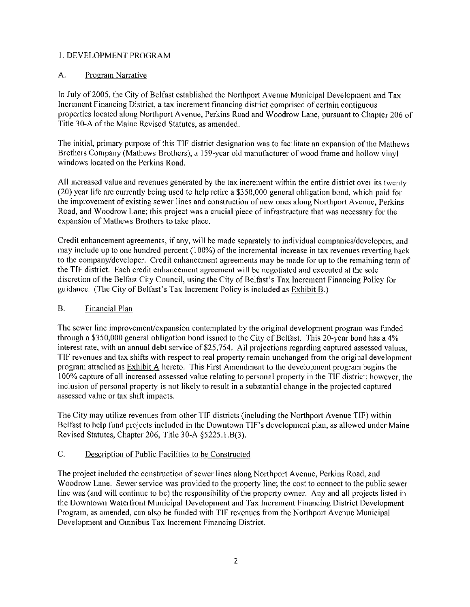# 1. DEVELOPMENT PROGRAM

### A. Program Narrative

In July of 2005, the City of Belfast established the Northport Avenue Municipal Development and Tax Increment Financing District, a tax increment financing district comprised of certain contiguous properties located along Northport Avenue, Perkins Road and Woodrow Lane, pursuant to Chapter 206 of Title 30-A of the Maine Revised Statutes, as amended.

The initial, primary purpose of this TIF district designation was to facilitate an expansion of the Mathews Brothers Company (Mathews Brothers), a 159-year old manufacturer of wood frame and hollow vinyl windows located on the Perkins Road.

All increased value and revenues generated by the tax increment within the entire district over its twenty (20) year life are currently being used to help retire a \$350,000 general obligation bond, which paid for the improvement of existing sewer lines and construction of new ones along Northport Avenue, Perkins Road, and Woodrow Lane; this project was a crucial piece of infrastructure that was necessary for the expansion of Mathews Brothers to take place.

Credit enhancement agreements, if any, will be made separately to individual companies/developers, and may include up to one hundred percent (100%) of the incremental increase in tax revenues reverting back to the company/developer. Credit enhancement agreements may be made for up to the remaining term of the TIF district. Each credit enhancement agreement will be negotiated and executed at the sole discretion of the Belfast City Council, using the City of Belfast's Tax Increment Financing Policy for guidance. (The City of Belfast's Tax Increment Policy is included as Exhibit B.)

#### **B**. Financial Plan

The sewer line improvement/expansion contemplated by the original development program was funded through a \$350,000 general obligation bond issued to the City of Belfast. This 20-year bond has a 4% interest rate, with an annual debt service of \$25,754. All projections regarding captured assessed values, TIF revenues and tax shifts with respect to real property remain unchanged from the original development program attached as Exhibit A hereto. This First Amendment to the development program begins the 100% capture of all increased assessed value relating to personal property in the TIF district; however, the inclusion of personal property is not likely to result in a substantial change in the projected captured assessed value or tax shift impacts.

The City may utilize revenues from other TIF districts (including the Northport Avenue TIF) within Belfast to help fund projects included in the Downtown TIF's development plan, as allowed under Maine Revised Statutes, Chapter 206, Title 30-A §5225.1.B(3).

#### $\mathsf{C}$ . Description of Public Facilities to be Constructed

The project included the construction of sewer lines along Northport Avenue, Perkins Road, and Woodrow Lane. Sewer service was provided to the property line; the cost to connect to the public sewer line was (and will continue to be) the responsibility of the property owner. Any and all projects listed in the Downtown Waterfront Municipal Development and Tax Increment Financing District Development Program, as amended, can also be funded with TIF revenues from the Northport Avenue Municipal Development and Omnibus Tax Increment Financing District.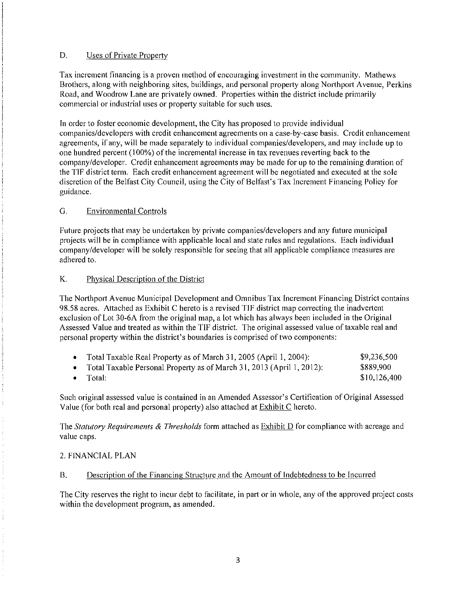#### D. Uses of Private Property

Tax increment financing is a proven method of encouraging investment in the community. Mathews Brothers, along with neighboring sites, buildings, and personal property along Northport Avenue, Perkins Road, and Woodrow Lane are privately owned. Properties within the district include primarily commercial or industrial uses or property suitable for such uses.

In order to foster economic development, the City has proposed to provide individual companies/developers with credit enhancement agreements on a case-by-case basis. Credit enhancement agreements, if any, will be made separately to individual companies/developers, and may include up to one hundred percent (100%) of the incremental increase in tax revenues reverting back to the company/developer. Credit enhancement agreements may be made for up to the remaining duration of the TIF district term. Each credit enhancement agreement will be negotiated and executed at the sole discretion of the Belfast City Council, using the City of Belfast's Tax Increment Financing Policy for guidance.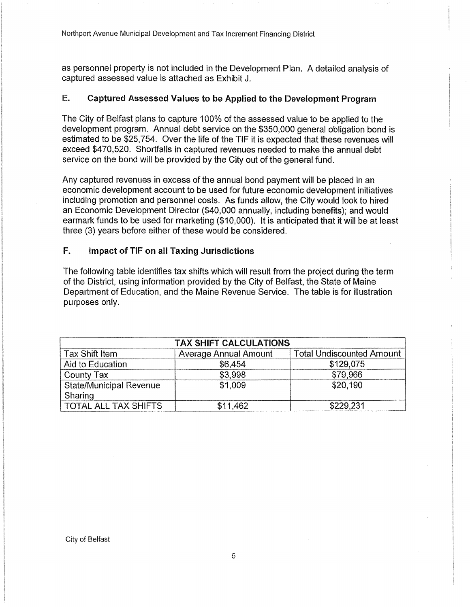### E. Captured Assessed Values to be Applied to the Development Program

The City of Belfast plans to capture 100% of the assessed value to be applied to the development program. Annual debt service on the \$350,000 general obligation bond is estimated to be \$25,754. Over the life of the TIF it is expected that these revenues will exceed \$470,520. Shortfalls in captured revenues needed to make the annual debt service on the bond will be provided by the City out of the general fund.

Any captured revenues in excess of the annual bond payment will be placed in an economic development account to be used for future economic development initiatives including promotion and personnel costs. As funds allow, the City would look to hired an Economic Development Director (\$40,000 annually, including benefits); and would earmark funds to be used for marketing (\$10,000). It is anticipated that it will be at least three (3) years before either of these would be considered.